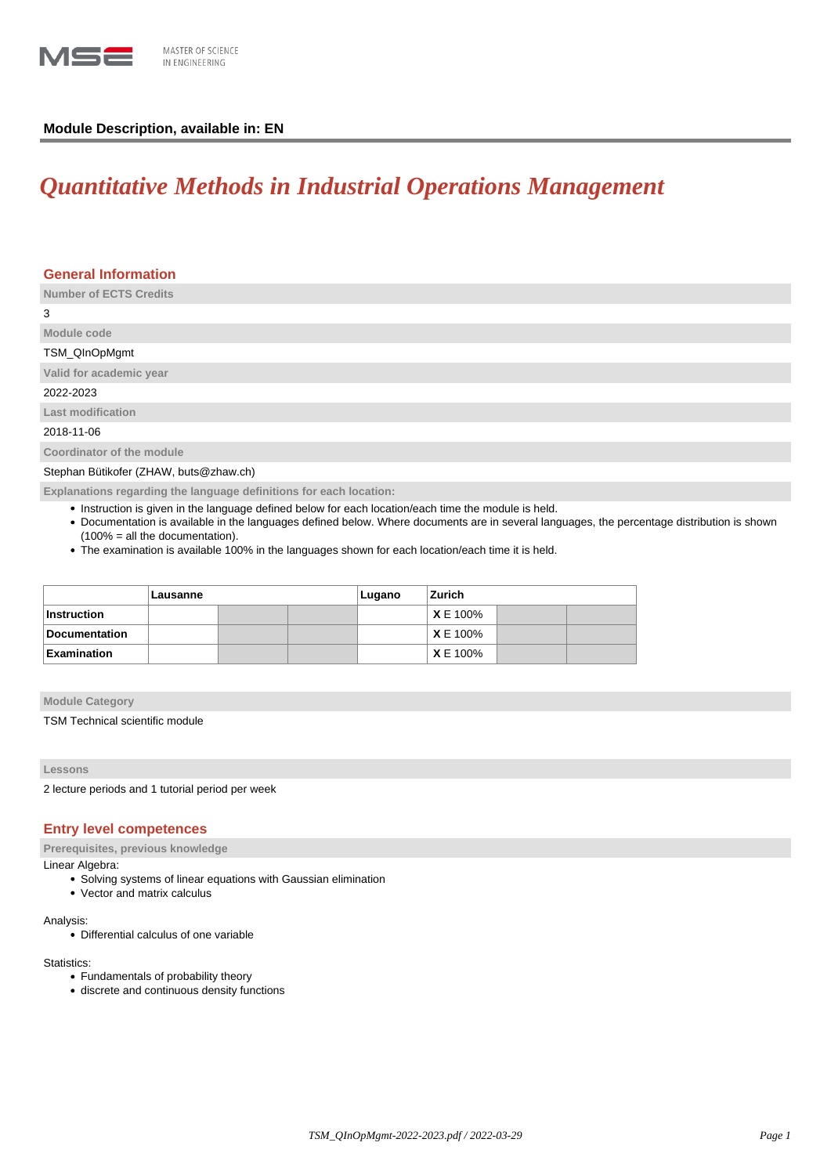

# **Module Description, available in: EN**

# *Quantitative Methods in Industrial Operations Management*

| <b>General Information</b>                                         |
|--------------------------------------------------------------------|
| <b>Number of ECTS Credits</b>                                      |
| 3                                                                  |
| Module code                                                        |
| TSM_QInOpMgmt                                                      |
| Valid for academic year                                            |
| 2022-2023                                                          |
| <b>Last modification</b>                                           |
| 2018-11-06                                                         |
| Coordinator of the module                                          |
| Stephan Bütikofer (ZHAW, buts@zhaw.ch)                             |
| Explanations regarding the language definitions for each location: |

- Instruction is given in the language defined below for each location/each time the module is held.
- Documentation is available in the languages defined below. Where documents are in several languages, the percentage distribution is shown (100% = all the documentation).
- The examination is available 100% in the languages shown for each location/each time it is held.

|                      | Lausanne |  |  | Lugano | Zurich         |  |  |
|----------------------|----------|--|--|--------|----------------|--|--|
| <b>Instruction</b>   |          |  |  |        | XE 100%        |  |  |
| <b>Documentation</b> |          |  |  |        | XE 100%        |  |  |
| Examination          |          |  |  |        | <b>XE 100%</b> |  |  |

### **Module Category**

TSM Technical scientific module

## **Lessons**

2 lecture periods and 1 tutorial period per week

## **Entry level competences**

**Prerequisites, previous knowledge**

# Linear Algebra:

- Solving systems of linear equations with Gaussian elimination
- Vector and matrix calculus

#### Analysis:

Differential calculus of one variable

#### Statistics:

- Fundamentals of probability theory
- discrete and continuous density functions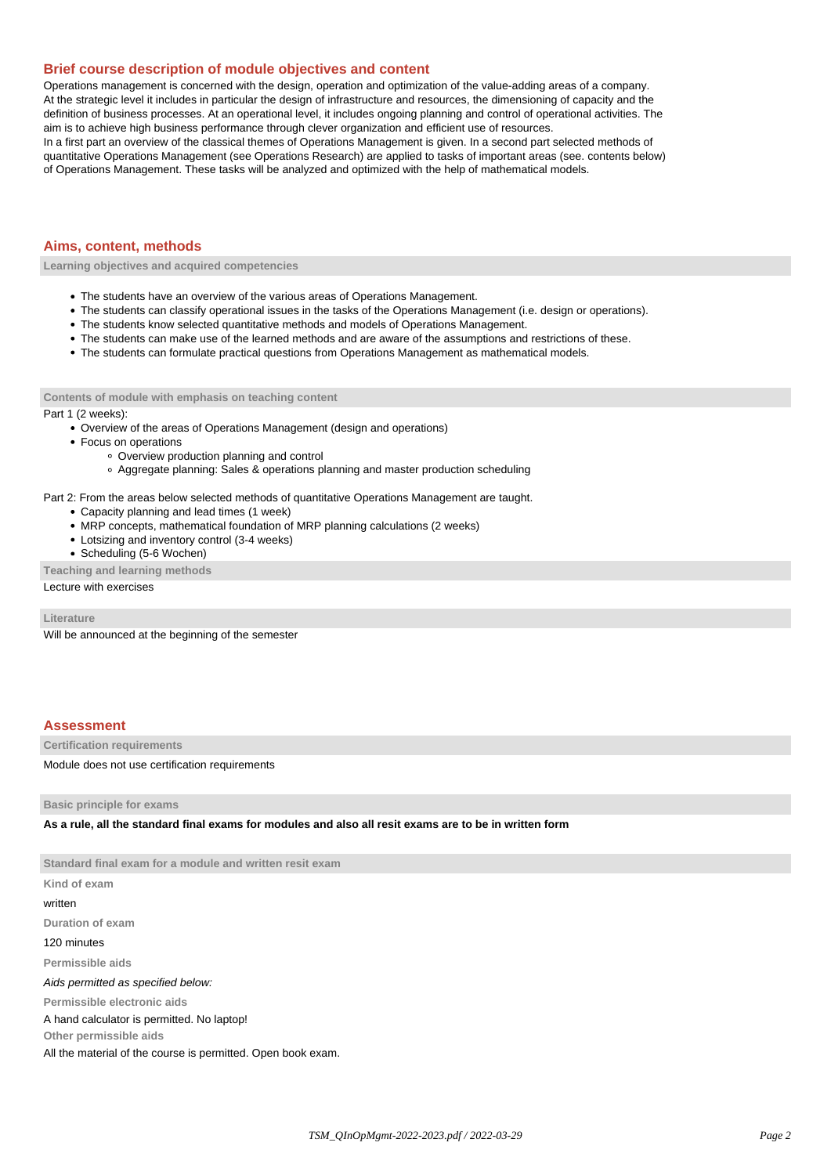## **Brief course description of module objectives and content**

Operations management is concerned with the design, operation and optimization of the value-adding areas of a company. At the strategic level it includes in particular the design of infrastructure and resources, the dimensioning of capacity and the definition of business processes. At an operational level, it includes ongoing planning and control of operational activities. The aim is to achieve high business performance through clever organization and efficient use of resources.

In a first part an overview of the classical themes of Operations Management is given. In a second part selected methods of quantitative Operations Management (see Operations Research) are applied to tasks of important areas (see. contents below) of Operations Management. These tasks will be analyzed and optimized with the help of mathematical models.

## **Aims, content, methods**

**Learning objectives and acquired competencies**

- The students have an overview of the various areas of Operations Management.
- The students can classify operational issues in the tasks of the Operations Management (i.e. design or operations).
- The students know selected quantitative methods and models of Operations Management.
- The students can make use of the learned methods and are aware of the assumptions and restrictions of these.
- The students can formulate practical questions from Operations Management as mathematical models.

#### **Contents of module with emphasis on teaching content**

#### Part 1 (2 weeks):

- Overview of the areas of Operations Management (design and operations)
- Focus on operations
	- Overview production planning and control
	- Aggregate planning: Sales & operations planning and master production scheduling

Part 2: From the areas below selected methods of quantitative Operations Management are taught.

- Capacity planning and lead times (1 week)
- MRP concepts, mathematical foundation of MRP planning calculations (2 weeks)
- Lotsizing and inventory control (3-4 weeks)
- Scheduling (5-6 Wochen)

**Teaching and learning methods**

Lecture with exercises

**Literature**

Will be announced at the beginning of the semester

## **Assessment**

**Certification requirements**

Module does not use certification requirements

**Basic principle for exams**

**As a rule, all the standard final exams for modules and also all resit exams are to be in written form**

**Standard final exam for a module and written resit exam Kind of exam**

written

**Duration of exam**

120 minutes

**Permissible aids**

Aids permitted as specified below:

**Permissible electronic aids**

A hand calculator is permitted. No laptop!

**Other permissible aids**

All the material of the course is permitted. Open book exam.